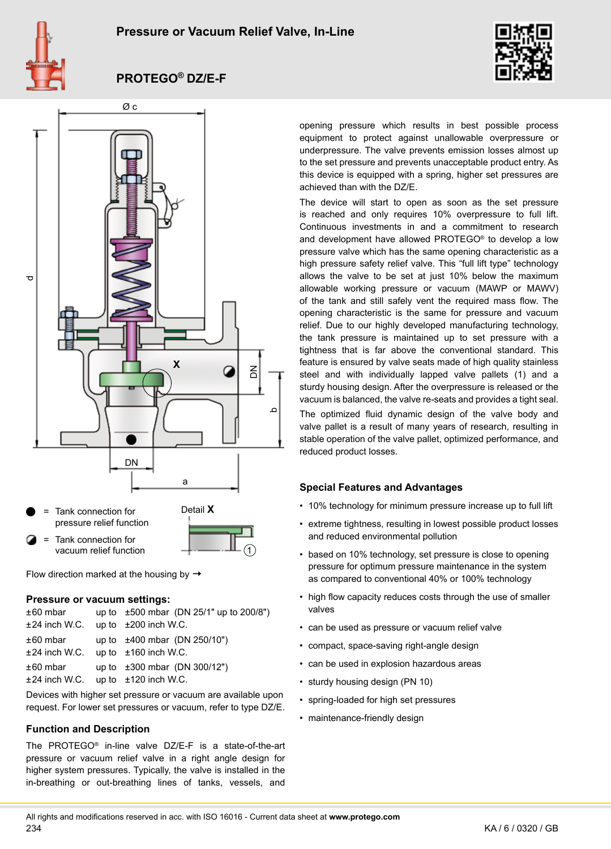



# **PROTEGO® DZ/E-F**



Flow direction marked at the housing by  $\rightarrow$ 

#### **Pressure or vacuum settings:**

| $±60$ mbar<br>±24 inch W.C. | up to $\pm 500$ mbar (DN 25/1" up to 200/8")<br>up to $\pm 200$ inch W.C.         |
|-----------------------------|-----------------------------------------------------------------------------------|
| $±60$ mbar<br>±24 inch W.C. | up to $\pm 400$ mbar (DN 250/10")<br>up to $\pm 160$ inch W.C.                    |
| $±60$ mbar                  | up to $\pm 300$ mbar (DN 300/12")<br>$\pm 24$ inch W.C. up to $\pm 120$ inch W.C. |

Devices with higher set pressure or vacuum are available upon request. For lower set pressures or vacuum, refer to type DZ/E.

# **Function and Description**

The PROTEGO® in-line valve DZ/E-F is a state-of-the-art pressure or vacuum relief valve in a right angle design for higher system pressures. Typically, the valve is installed in the in-breathing or out-breathing lines of tanks, vessels, and

opening pressure which results in best possible process equipment to protect against unallowable overpressure or underpressure. The valve prevents emission losses almost up to the set pressure and prevents unacceptable product entry. As this device is equipped with a spring, higher set pressures are achieved than with the DZ/E.

The device will start to open as soon as the set pressure is reached and only requires 10% overpressure to full lift. Continuous investments in and a commitment to research and development have allowed PROTEGO® to develop a low pressure valve which has the same opening characteristic as a high pressure safety relief valve. This "full lift type" technology allows the valve to be set at just 10% below the maximum allowable working pressure or vacuum (MAWP or MAWV) of the tank and still safely vent the required mass flow. The opening characteristic is the same for pressure and vacuum relief. Due to our highly developed manufacturing technology, the tank pressure is maintained up to set pressure with a tightness that is far above the conventional standard. This feature is ensured by valve seats made of high quality stainless steel and with individually lapped valve pallets (1) and a sturdy housing design. After the overpressure is released or the vacuum is balanced, the valve re-seats and provides a tight seal.

The optimized fluid dynamic design of the valve body and valve pallet is a result of many years of research, resulting in stable operation of the valve pallet, optimized performance, and reduced product losses.

# **Special Features and Advantages**

- 10% technology for minimum pressure increase up to full lift
- extreme tightness, resulting in lowest possible product losses and reduced environmental pollution
- based on 10% technology, set pressure is close to opening pressure for optimum pressure maintenance in the system as compared to conventional 40% or 100% technology
- high flow capacity reduces costs through the use of smaller valves
- can be used as pressure or vacuum relief valve
- compact, space-saving right-angle design
- can be used in explosion hazardous areas
- sturdy housing design (PN 10)
- spring-loaded for high set pressures
- maintenance-friendly design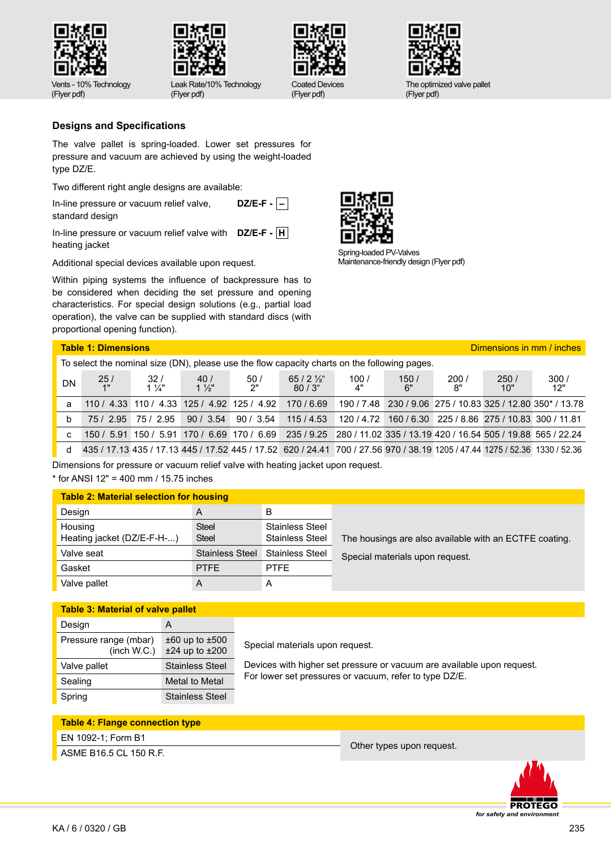



Leak Rate/10% Technology (Flyer pdf)



(Flyer pdf)



The optimized valve pallet (Flyer pdf)

(Flyer pdf)

# **Designs and Specifications**

The valve pallet is spring-loaded. Lower set pressures for pressure and vacuum are achieved by using the weight-loaded type DZ/E.

Two different right angle designs are available:

In-line pressure or vacuum relief valve, standard design **DZ/E-F - –**

In-line pressure or vacuum relief valve with **DZ/E-F - H** heating jacket

Additional special devices available upon request.

Within piping systems the influence of backpressure has to be considered when deciding the set pressure and opening characteristics. For special design solutions (e.g., partial load operation), the valve can be supplied with standard discs (with proportional opening function).



Spring-loaded PV-Valves Maintenance-friendly design (Flyer pdf)

|    | <b>Table 1: Dimensions</b>                                                                   |                       |                       |                                                        | Dimensions in mm / inches                                                                                                  |            |            |            |                                                            |             |
|----|----------------------------------------------------------------------------------------------|-----------------------|-----------------------|--------------------------------------------------------|----------------------------------------------------------------------------------------------------------------------------|------------|------------|------------|------------------------------------------------------------|-------------|
|    | To select the nominal size (DN), please use the flow capacity charts on the following pages. |                       |                       |                                                        |                                                                                                                            |            |            |            |                                                            |             |
| DN | $\frac{25}{1}$                                                                               | 32/<br>$1\frac{1}{4}$ | 40/<br>$1\frac{1}{2}$ | 50/<br>2"                                              | $65/2\frac{1}{2}$<br>$80/3$ "                                                                                              | 100/<br>4" | 150/<br>6" | 200/<br>8" | 250/<br>10"                                                | 300/<br>12" |
| a  |                                                                                              |                       |                       | 110 / 4.33 110 / 4.33 125 / 4.92 125 / 4.92 170 / 6.69 |                                                                                                                            |            |            |            | 190 / 7.48 230 / 9.06 275 / 10.83 325 / 12.80 350* / 13.78 |             |
| b  |                                                                                              | 75 / 2.95 75 / 2.95   |                       |                                                        | $90 / 3.54$ 90 / 3.54 115 / 4.53                                                                                           |            |            |            | 120 / 4.72 160 / 6.30 225 / 8.86 275 / 10.83 300 / 11.81   |             |
| C  |                                                                                              |                       |                       |                                                        | 150 / 5.91 150 / 5.91 170 / 6.69 170 / 6.69 235 / 9.25 280 / 11.02 335 / 13.19 420 / 16.54 505 / 19.88 565 / 22.24         |            |            |            |                                                            |             |
| d  |                                                                                              |                       |                       |                                                        | 435 / 17.13 435 / 17.13 445 / 17.52 445 / 17.52 620 / 24.41 700 / 27.56 970 / 38.19 1205 / 47.44 1275 / 52.36 1330 / 52.36 |            |            |            |                                                            |             |

Dimensions for pressure or vacuum relief valve with heating jacket upon request.

\* for ANSI 12" = 400 mm / 15.75 inches

| <b>Table 2: Material selection for housing</b> |                        |                                                  |  |  |  |  |  |
|------------------------------------------------|------------------------|--------------------------------------------------|--|--|--|--|--|
| Design                                         | A                      | в                                                |  |  |  |  |  |
| Housing<br>Heating jacket (DZ/E-F-H-)          | Steel<br>Steel         | <b>Stainless Steel</b><br><b>Stainless Steel</b> |  |  |  |  |  |
| Valve seat                                     | <b>Stainless Steel</b> | <b>Stainless Steel</b>                           |  |  |  |  |  |
| Gasket                                         | <b>PTFE</b>            | <b>PTFF</b>                                      |  |  |  |  |  |
| Valve pallet                                   |                        | А                                                |  |  |  |  |  |

The housings are also available with an ECTFE coating. Special materials upon request.

**Table 3: Material of valve pallet** Design A Pressure range (mbar) (inch W.C.) ±60 up to ±500 ±24 up to ±200 Valve pallet Stainless Steel Sealing Metal to Metal Spring Stainless Steel

Special materials upon request.

Devices with higher set pressure or vacuum are available upon request. For lower set pressures or vacuum, refer to type DZ/E.

# **Table 4: Flange connection type**

# EN 1092-1; Form B1

ASME B16.5 CL 150 R.F.<br>ASME B16.5 CL 150 R.F.